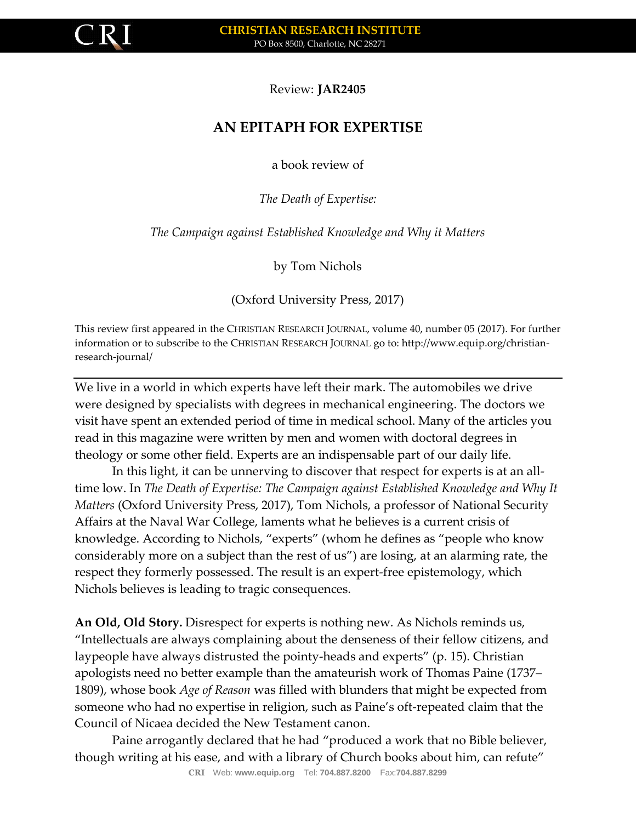

Review: **JAR2405**

## **AN EPITAPH FOR EXPERTISE**

a book review of

*The Death of Expertise:* 

*The Campaign against Established Knowledge and Why it Matters*

by Tom Nichols

(Oxford University Press, 2017)

This review first appeared in the CHRISTIAN RESEARCH JOURNAL, volume 40, number 05 (2017). For further information or to subscribe to the CHRISTIAN RESEARCH JOURNAL go to: http://www.equip.org/christianresearch-journal/

We live in a world in which experts have left their mark. The automobiles we drive were designed by specialists with degrees in mechanical engineering. The doctors we visit have spent an extended period of time in medical school. Many of the articles you read in this magazine were written by men and women with doctoral degrees in theology or some other field. Experts are an indispensable part of our daily life.

In this light, it can be unnerving to discover that respect for experts is at an alltime low. In *The Death of Expertise: The Campaign against Established Knowledge and Why It Matters* (Oxford University Press, 2017), Tom Nichols, a professor of National Security Affairs at the Naval War College, laments what he believes is a current crisis of knowledge. According to Nichols, "experts" (whom he defines as "people who know considerably more on a subject than the rest of us") are losing, at an alarming rate, the respect they formerly possessed. The result is an expert-free epistemology, which Nichols believes is leading to tragic consequences.

**An Old, Old Story.** Disrespect for experts is nothing new. As Nichols reminds us, "Intellectuals are always complaining about the denseness of their fellow citizens, and laypeople have always distrusted the pointy-heads and experts" (p. 15). Christian apologists need no better example than the amateurish work of Thomas Paine (1737– 1809), whose book *Age of Reason* was filled with blunders that might be expected from someone who had no expertise in religion, such as Paine's oft-repeated claim that the Council of Nicaea decided the New Testament canon.

Paine arrogantly declared that he had "produced a work that no Bible believer, though writing at his ease, and with a library of Church books about him, can refute"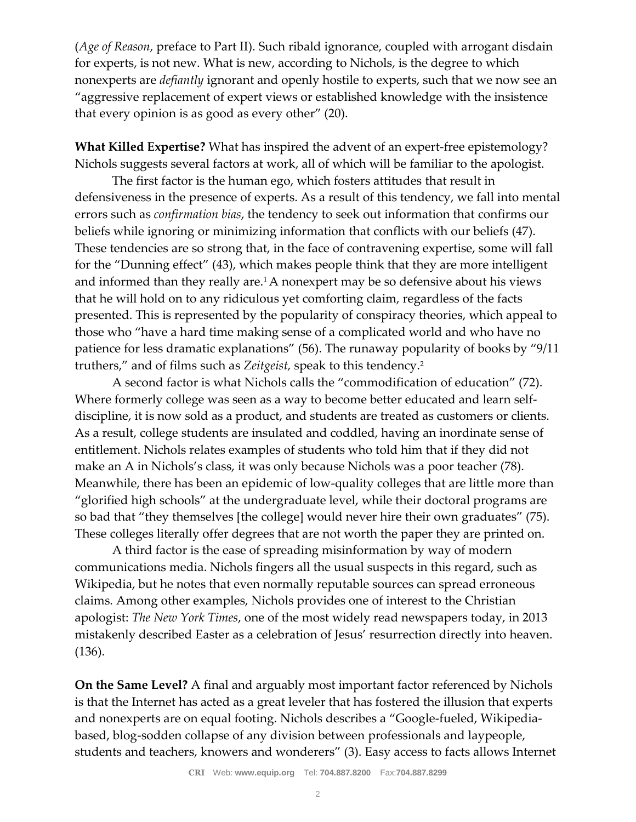(*Age of Reason*, preface to Part II). Such ribald ignorance, coupled with arrogant disdain for experts, is not new. What is new, according to Nichols, is the degree to which nonexperts are *defiantly* ignorant and openly hostile to experts, such that we now see an "aggressive replacement of expert views or established knowledge with the insistence that every opinion is as good as every other" (20).

**What Killed Expertise?** What has inspired the advent of an expert-free epistemology? Nichols suggests several factors at work, all of which will be familiar to the apologist.

The first factor is the human ego, which fosters attitudes that result in defensiveness in the presence of experts. As a result of this tendency, we fall into mental errors such as *confirmation bias*, the tendency to seek out information that confirms our beliefs while ignoring or minimizing information that conflicts with our beliefs (47). These tendencies are so strong that, in the face of contravening expertise, some will fall for the "Dunning effect" (43), which makes people think that they are more intelligent and informed than they really are.<sup>1</sup> A nonexpert may be so defensive about his views that he will hold on to any ridiculous yet comforting claim, regardless of the facts presented. This is represented by the popularity of conspiracy theories, which appeal to those who "have a hard time making sense of a complicated world and who have no patience for less dramatic explanations" (56). The runaway popularity of books by "9/11 truthers," and of films such as *Zeitgeist,* speak to this tendency.<sup>2</sup>

A second factor is what Nichols calls the "commodification of education" (72). Where formerly college was seen as a way to become better educated and learn selfdiscipline, it is now sold as a product, and students are treated as customers or clients. As a result, college students are insulated and coddled, having an inordinate sense of entitlement. Nichols relates examples of students who told him that if they did not make an A in Nichols's class, it was only because Nichols was a poor teacher (78). Meanwhile, there has been an epidemic of low-quality colleges that are little more than "glorified high schools" at the undergraduate level, while their doctoral programs are so bad that "they themselves [the college] would never hire their own graduates" (75). These colleges literally offer degrees that are not worth the paper they are printed on.

A third factor is the ease of spreading misinformation by way of modern communications media. Nichols fingers all the usual suspects in this regard, such as Wikipedia, but he notes that even normally reputable sources can spread erroneous claims. Among other examples, Nichols provides one of interest to the Christian apologist: *The New York Times*, one of the most widely read newspapers today, in 2013 mistakenly described Easter as a celebration of Jesus' resurrection directly into heaven. (136).

**On the Same Level?** A final and arguably most important factor referenced by Nichols is that the Internet has acted as a great leveler that has fostered the illusion that experts and nonexperts are on equal footing. Nichols describes a "Google-fueled, Wikipediabased, blog-sodden collapse of any division between professionals and laypeople, students and teachers, knowers and wonderers" (3). Easy access to facts allows Internet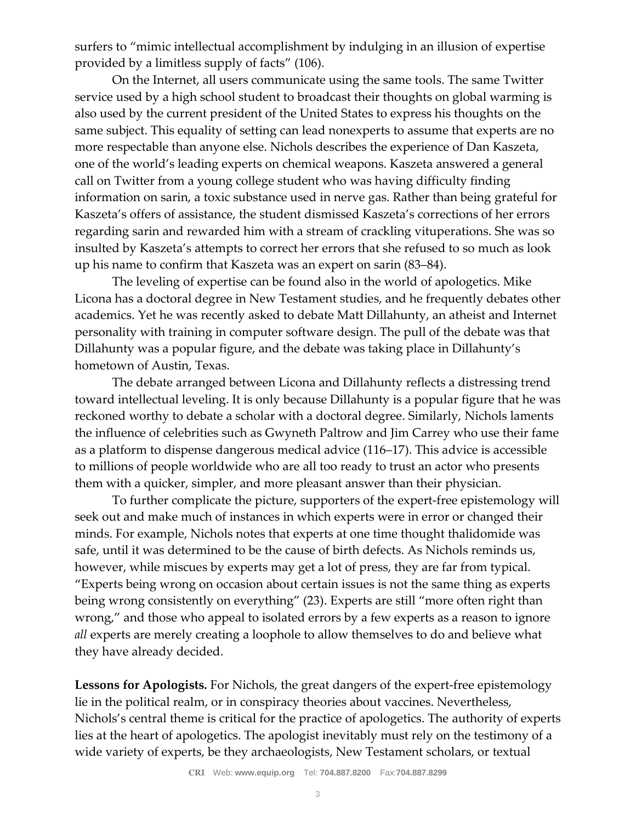surfers to "mimic intellectual accomplishment by indulging in an illusion of expertise provided by a limitless supply of facts" (106).

On the Internet, all users communicate using the same tools. The same Twitter service used by a high school student to broadcast their thoughts on global warming is also used by the current president of the United States to express his thoughts on the same subject. This equality of setting can lead nonexperts to assume that experts are no more respectable than anyone else. Nichols describes the experience of Dan Kaszeta, one of the world's leading experts on chemical weapons. Kaszeta answered a general call on Twitter from a young college student who was having difficulty finding information on sarin, a toxic substance used in nerve gas. Rather than being grateful for Kaszeta's offers of assistance, the student dismissed Kaszeta's corrections of her errors regarding sarin and rewarded him with a stream of crackling vituperations. She was so insulted by Kaszeta's attempts to correct her errors that she refused to so much as look up his name to confirm that Kaszeta was an expert on sarin (83–84).

The leveling of expertise can be found also in the world of apologetics. Mike Licona has a doctoral degree in New Testament studies, and he frequently debates other academics. Yet he was recently asked to debate Matt Dillahunty, an atheist and Internet personality with training in computer software design. The pull of the debate was that Dillahunty was a popular figure, and the debate was taking place in Dillahunty's hometown of Austin, Texas.

The debate arranged between Licona and Dillahunty reflects a distressing trend toward intellectual leveling. It is only because Dillahunty is a popular figure that he was reckoned worthy to debate a scholar with a doctoral degree. Similarly, Nichols laments the influence of celebrities such as Gwyneth Paltrow and Jim Carrey who use their fame as a platform to dispense dangerous medical advice (116–17). This advice is accessible to millions of people worldwide who are all too ready to trust an actor who presents them with a quicker, simpler, and more pleasant answer than their physician.

To further complicate the picture, supporters of the expert-free epistemology will seek out and make much of instances in which experts were in error or changed their minds. For example, Nichols notes that experts at one time thought thalidomide was safe, until it was determined to be the cause of birth defects. As Nichols reminds us, however, while miscues by experts may get a lot of press, they are far from typical. "Experts being wrong on occasion about certain issues is not the same thing as experts being wrong consistently on everything" (23). Experts are still "more often right than wrong," and those who appeal to isolated errors by a few experts as a reason to ignore *all* experts are merely creating a loophole to allow themselves to do and believe what they have already decided.

**Lessons for Apologists.** For Nichols, the great dangers of the expert-free epistemology lie in the political realm, or in conspiracy theories about vaccines. Nevertheless, Nichols's central theme is critical for the practice of apologetics. The authority of experts lies at the heart of apologetics. The apologist inevitably must rely on the testimony of a wide variety of experts, be they archaeologists, New Testament scholars, or textual